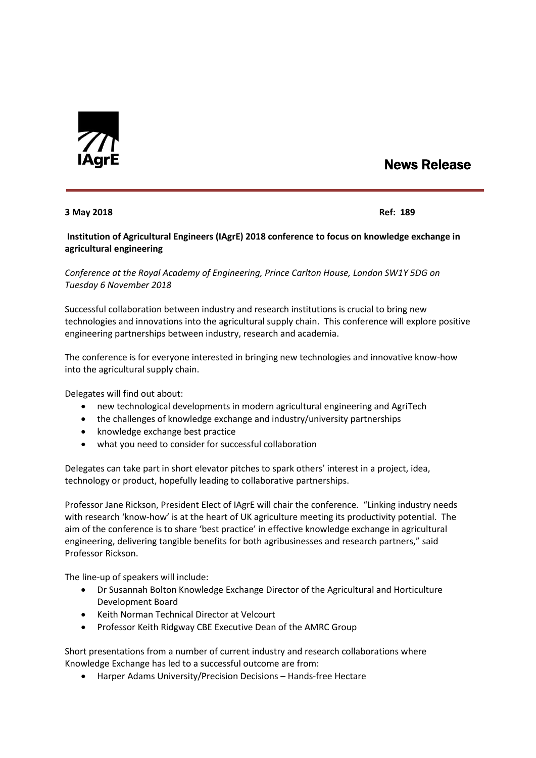

## News Release

## **3 May 2018 Ref: 189**

**Institution of Agricultural Engineers (IAgrE) 2018 conference to focus on knowledge exchange in agricultural engineering**

*Conference at the Royal Academy of Engineering, Prince Carlton House, London SW1Y 5DG on Tuesday 6 November 2018*

Successful collaboration between industry and research institutions is crucial to bring new technologies and innovations into the agricultural supply chain. This conference will explore positive engineering partnerships between industry, research and academia.

The conference is for everyone interested in bringing new technologies and innovative know-how into the agricultural supply chain.

Delegates will find out about:

- new technological developments in modern agricultural engineering and AgriTech
- the challenges of knowledge exchange and industry/university partnerships
- knowledge exchange best practice
- what you need to consider for successful collaboration

Delegates can take part in short elevator pitches to spark others' interest in a project, idea, technology or product, hopefully leading to collaborative partnerships.

Professor Jane Rickson, President Elect of IAgrE will chair the conference. "Linking industry needs with research 'know-how' is at the heart of UK agriculture meeting its productivity potential. The aim of the conference is to share 'best practice' in effective knowledge exchange in agricultural engineering, delivering tangible benefits for both agribusinesses and research partners," said Professor Rickson.

The line-up of speakers will include:

- Dr Susannah Bolton Knowledge Exchange Director of the Agricultural and Horticulture Development Board
- Keith Norman Technical Director at Velcourt
- Professor Keith Ridgway CBE Executive Dean of the AMRC Group

Short presentations from a number of current industry and research collaborations where Knowledge Exchange has led to a successful outcome are from:

Harper Adams University/Precision Decisions – Hands-free Hectare